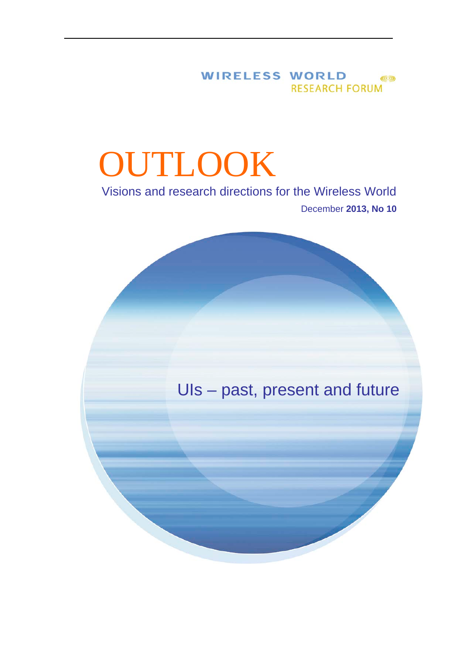# WIRELESS WORLD (9) **RESEARCH FORUM**

# **OUTLOOK**

# Visions and research directions for the Wireless World December **2013, No <sup>10</sup>**

# UIs – past, present and future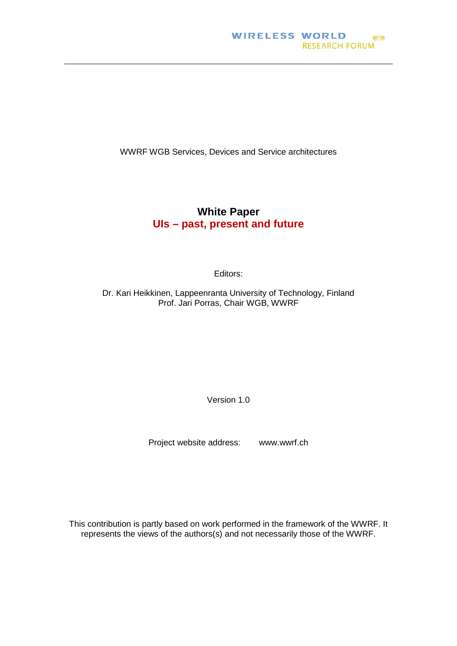WWRF WGB Services, Devices and Service architectures

# **White Paper UIs – past, present and future**

Editors:

Dr. Kari Heikkinen, Lappeenranta University of Technology, Finland Prof. Jari Porras, Chair WGB, WWRF

Version 1.0

Project website address: www.wwrf.ch

This contribution is partly based on work performed in the framework of the WWRF. It represents the views of the authors(s) and not necessarily those of the WWRF.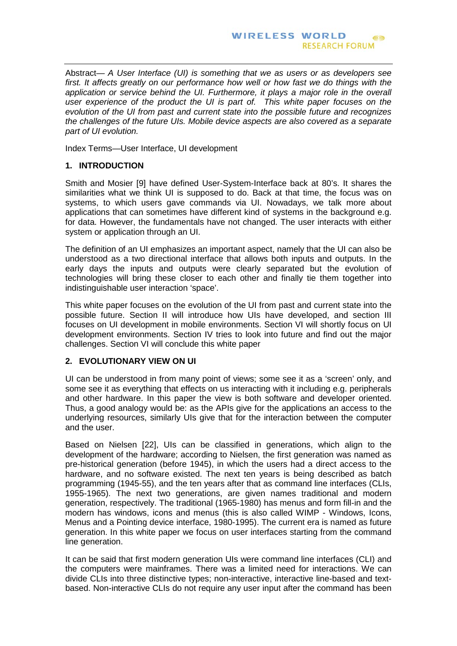Abstract— *A User Interface (UI) is something that we as users or as developers see*  first. It affects greatly on our performance how well or how fast we do things with the *application or service behind the UI. Furthermore, it plays a major role in the overall user experience of the product the UI is part of. This white paper focuses on the evolution of the UI from past and current state into the possible future and recognizes the challenges of the future UIs. Mobile device aspects are also covered as a separate part of UI evolution.*

Index Terms—User Interface, UI development

# **1. INTRODUCTION**

Smith and Mosier [9] have defined User-System-Interface back at 80's. It shares the similarities what we think UI is supposed to do. Back at that time, the focus was on systems, to which users gave commands via UI. Nowadays, we talk more about applications that can sometimes have different kind of systems in the background e.g. for data. However, the fundamentals have not changed. The user interacts with either system or application through an UI.

The definition of an UI emphasizes an important aspect, namely that the UI can also be understood as a two directional interface that allows both inputs and outputs. In the early days the inputs and outputs were clearly separated but the evolution of technologies will bring these closer to each other and finally tie them together into indistinguishable user interaction 'space'.

This white paper focuses on the evolution of the UI from past and current state into the possible future. Section II will introduce how UIs have developed, and section III focuses on UI development in mobile environments. Section VI will shortly focus on UI development environments. Section IV tries to look into future and find out the major challenges. Section VI will conclude this white paper

# **2. EVOLUTIONARY VIEW ON UI**

UI can be understood in from many point of views; some see it as a 'screen' only, and some see it as everything that effects on us interacting with it including e.g. peripherals and other hardware. In this paper the view is both software and developer oriented. Thus, a good analogy would be: as the APIs give for the applications an access to the underlying resources, similarly UIs give that for the interaction between the computer and the user.

Based on Nielsen [22], UIs can be classified in generations, which align to the development of the hardware; according to Nielsen, the first generation was named as pre-historical generation (before 1945), in which the users had a direct access to the hardware, and no software existed. The next ten years is being described as batch programming (1945-55), and the ten years after that as command line interfaces (CLIs, 1955-1965). The next two generations, are given names traditional and modern generation, respectively. The traditional (1965-1980) has menus and form fill-in and the modern has windows, icons and menus (this is also called WIMP - Windows, Icons, Menus and a Pointing device interface, 1980-1995). The current era is named as future generation. In this white paper we focus on user interfaces starting from the command line generation.

It can be said that first modern generation UIs were command line interfaces (CLI) and the computers were mainframes. There was a limited need for interactions. We can divide CLIs into three distinctive types; non-interactive, interactive line-based and textbased. Non-interactive CLIs do not require any user input after the command has been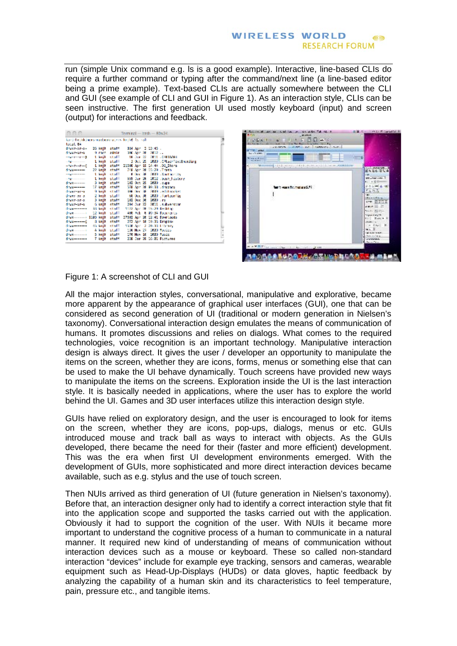run (simple Unix command e.g. ls is a good example). Interactive, line-based CLIs do require a further command or typing after the command/next line (a line-based editor being a prime example). Text-based CLIs are actually somewhere between the CLI and GUI (see example of CLI and GUI in Figure 1). As an interaction style, CLIs can be seen instructive. The first generation UI used mostly keyboard (input) and screen (output) for interactions and feedback.

| ees                        |  | Terminal - bash - FDs24                                     |   |
|----------------------------|--|-------------------------------------------------------------|---|
|                            |  | koninkeitdeinersmaadentmaines keiks by mal-                 | ļ |
| total 64                   |  |                                                             |   |
| druks-os-o- 25 kmjk staff  |  | 904 April 1, 135 Bis.                                       |   |
|                            |  | drawn on-g - 9 noch sänin - 396 Apr 28 2812                 |   |
| -ner-e-r-a thaik staff     |  | 11 Jun 22 2011 - C-831-14                                   |   |
|                            |  | 3 Oct 25 2020 (CPLscriptibioding                            |   |
| -no-r--r--2 Limit staff    |  | 20506 Apr 15 CA: 44 .05 Store                               |   |
| draw----- 22 kmjh shaft    |  | 768 Apr 28 (5):39 Junet                                     |   |
| someone think staff        |  | # Dec 38 2009 . Southernity                                 |   |
|                            |  | 555 Jun 20 2022 Josh Fistery                                |   |
| draw----- 3 kmjh staff     |  | 100 Oct 25 - 2020 .cupa                                     |   |
|                            |  | draw----- 17 knjh staff - 578 Apr 28 99:33 .dropbes         |   |
|                            |  | down-an-a 9 keit staff 306 bei 36 2009 Jeditrocket          |   |
|                            |  | drawn-en-e 2 knjh stuff 68 Dec 38 2000 (fortconfig          |   |
|                            |  | drawn-on-o. 3 km/h staff 100 Dec 36, 2020 . ns              |   |
|                            |  | driver on-s - Glorijk, staff - 204 Jun 22 - 2011 Louisembon |   |
| draw------ 33 kejk staff   |  | 1102 Apr 28, 15:29 Besktop                                  |   |
|                            |  | AND FOR 10 000 \$4 Bookmanics                               |   |
| draw------ 1193 kmlh staff |  | 37500 Apr 28 12:41 Bowelouds                                |   |
|                            |  | 273 Apr 18 19:35 Brophan                                    |   |
| draw------ di kajk staff   |  | 1530 Apr. 2, 20133 Library                                  |   |
|                            |  |                                                             |   |
|                            |  | draw------- 5 knjh stati 170 Nov 16 2020 Rasic              | Ī |
| draw------ 7 kmjh staff    |  | 208 Jan 26 10:21 Fictures                                   |   |
|                            |  |                                                             |   |



# Figure 1: A screenshot of CLI and GUI

All the major interaction styles, conversational, manipulative and explorative, became more apparent by the appearance of graphical user interfaces (GUI), one that can be considered as second generation of UI (traditional or modern generation in Nielsen's taxonomy). Conversational interaction design emulates the means of communication of humans. It promotes discussions and relies on dialogs. What comes to the required technologies, voice recognition is an important technology. Manipulative interaction design is always direct. It gives the user / developer an opportunity to manipulate the items on the screen, whether they are icons, forms, menus or something else that can be used to make the UI behave dynamically. Touch screens have provided new ways to manipulate the items on the screens. Exploration inside the UI is the last interaction style. It is basically needed in applications, where the user has to explore the world behind the UI. Games and 3D user interfaces utilize this interaction design style.

GUIs have relied on exploratory design, and the user is encouraged to look for items on the screen, whether they are icons, pop-ups, dialogs, menus or etc. GUIs introduced mouse and track ball as ways to interact with objects. As the GUIs developed, there became the need for their (faster and more efficient) development. This was the era when first UI development environments emerged. With the development of GUIs, more sophisticated and more direct interaction devices became available, such as e.g. stylus and the use of touch screen.

Then NUIs arrived as third generation of UI (future generation in Nielsen's taxonomy). Before that, an interaction designer only had to identify a correct interaction style that fit into the application scope and supported the tasks carried out with the application. Obviously it had to support the cognition of the user. With NUIs it became more important to understand the cognitive process of a human to communicate in a natural manner. It required new kind of understanding of means of communication without interaction devices such as a mouse or keyboard. These so called non-standard interaction "devices" include for example eye tracking, sensors and cameras, wearable equipment such as Head-Up-Displays (HUDs) or data gloves, haptic feedback by analyzing the capability of a human skin and its characteristics to feel temperature, pain, pressure etc., and tangible items.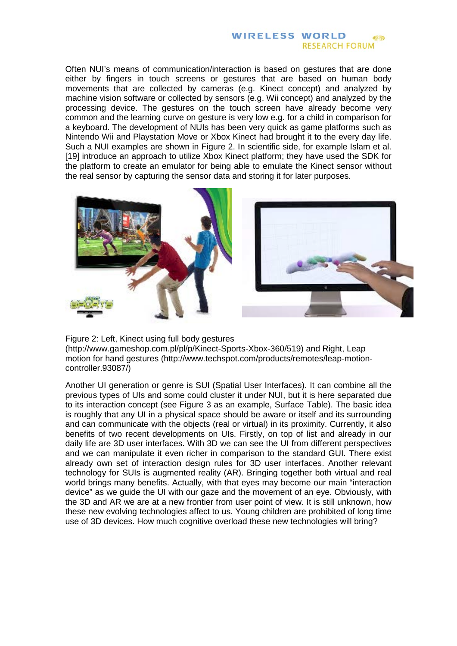Often NUI's means of communication/interaction is based on gestures that are done either by fingers in touch screens or gestures that are based on human body movements that are collected by cameras (e.g. Kinect concept) and analyzed by machine vision software or collected by sensors (e.g. Wii concept) and analyzed by the processing device. The gestures on the touch screen have already become very common and the learning curve on gesture is very low e.g. for a child in comparison for a keyboard. The development of NUIs has been very quick as game platforms such as Nintendo Wii and Playstation Move or Xbox Kinect had brought it to the every day life. Such a NUI examples are shown in Figure 2. In scientific side, for example Islam et al. [19] introduce an approach to utilize Xbox Kinect platform; they have used the SDK for the platform to create an emulator for being able to emulate the Kinect sensor without the real sensor by capturing the sensor data and storing it for later purposes.



Figure 2: Left, Kinect using full body gestures (http://www.gameshop.com.pl/pl/p/Kinect-Sports-Xbox-360/519) and Right, Leap motion for hand gestures (http://www.techspot.com/products/remotes/leap-motioncontroller.93087/)

Another UI generation or genre is SUI (Spatial User Interfaces). It can combine all the previous types of UIs and some could cluster it under NUI, but it is here separated due to its interaction concept (see Figure 3 as an example, Surface Table). The basic idea is roughly that any UI in a physical space should be aware or itself and its surrounding and can communicate with the objects (real or virtual) in its proximity. Currently, it also benefits of two recent developments on UIs. Firstly, on top of list and already in our daily life are 3D user interfaces. With 3D we can see the UI from different perspectives and we can manipulate it even richer in comparison to the standard GUI. There exist already own set of interaction design rules for 3D user interfaces. Another relevant technology for SUIs is augmented reality (AR). Bringing together both virtual and real world brings many benefits. Actually, with that eyes may become our main "interaction device" as we guide the UI with our gaze and the movement of an eye. Obviously, with the 3D and AR we are at a new frontier from user point of view. It is still unknown, how these new evolving technologies affect to us. Young children are prohibited of long time use of 3D devices. How much cognitive overload these new technologies will bring?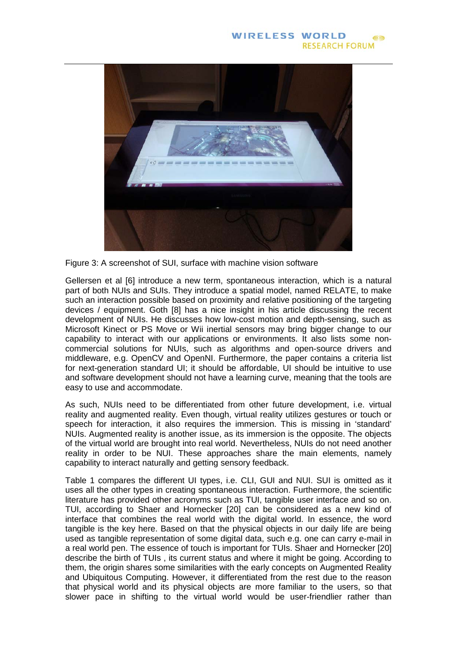

Figure 3: A screenshot of SUI, surface with machine vision software

Gellersen et al [6] introduce a new term, spontaneous interaction, which is a natural part of both NUIs and SUIs. They introduce a spatial model, named RELATE, to make such an interaction possible based on proximity and relative positioning of the targeting devices / equipment. Goth [8] has a nice insight in his article discussing the recent development of NUIs. He discusses how low-cost motion and depth-sensing, such as Microsoft Kinect or PS Move or Wii inertial sensors may bring bigger change to our capability to interact with our applications or environments. It also lists some noncommercial solutions for NUIs, such as algorithms and open-source drivers and middleware, e.g. OpenCV and OpenNI. Furthermore, the paper contains a criteria list for next-generation standard UI; it should be affordable, UI should be intuitive to use and software development should not have a learning curve, meaning that the tools are easy to use and accommodate.

As such, NUIs need to be differentiated from other future development, i.e. virtual reality and augmented reality. Even though, virtual reality utilizes gestures or touch or speech for interaction, it also requires the immersion. This is missing in 'standard' NUIs. Augmented reality is another issue, as its immersion is the opposite. The objects of the virtual world are brought into real world. Nevertheless, NUIs do not need another reality in order to be NUI. These approaches share the main elements, namely capability to interact naturally and getting sensory feedback.

Table 1 compares the different UI types, i.e. CLI, GUI and NUI. SUI is omitted as it uses all the other types in creating spontaneous interaction. Furthermore, the scientific literature has provided other acronyms such as TUI, tangible user interface and so on. TUI, according to Shaer and Hornecker [20] can be considered as a new kind of interface that combines the real world with the digital world. In essence, the word tangible is the key here. Based on that the physical objects in our daily life are being used as tangible representation of some digital data, such e.g. one can carry e-mail in a real world pen. The essence of touch is important for TUIs. Shaer and Hornecker [20] describe the birth of TUIs , its current status and where it might be going. According to them, the origin shares some similarities with the early concepts on Augmented Reality and Ubiquitous Computing. However, it differentiated from the rest due to the reason that physical world and its physical objects are more familiar to the users, so that slower pace in shifting to the virtual world would be user-friendlier rather than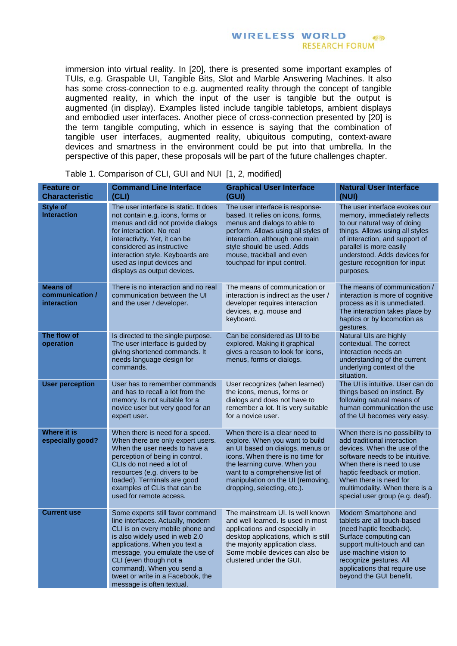#### **WIRELESS WORLD**  $(\cup)$ **RESEARCH FORUM**

immersion into virtual reality. In [20], there is presented some important examples of TUIs, e.g. Graspable UI, Tangible Bits, Slot and Marble Answering Machines. It also has some cross-connection to e.g. augmented reality through the concept of tangible augmented reality, in which the input of the user is tangible but the output is augmented (in display). Examples listed include tangible tabletops, ambient displays and embodied user interfaces. Another piece of cross-connection presented by [20] is the term tangible computing, which in essence is saying that the combination of tangible user interfaces, augmented reality, ubiquitous computing, context-aware devices and smartness in the environment could be put into that umbrella. In the perspective of this paper, these proposals will be part of the future challenges chapter.

| <b>Feature or</b><br><b>Characteristic</b>        | <b>Command Line Interface</b><br>(CLI)                                                                                                                                                                                                                                                                                                   | <b>Graphical User Interface</b><br>(GUI)                                                                                                                                                                                                                                        | <b>Natural User Interface</b><br>(NUI)                                                                                                                                                                                                                                                      |
|---------------------------------------------------|------------------------------------------------------------------------------------------------------------------------------------------------------------------------------------------------------------------------------------------------------------------------------------------------------------------------------------------|---------------------------------------------------------------------------------------------------------------------------------------------------------------------------------------------------------------------------------------------------------------------------------|---------------------------------------------------------------------------------------------------------------------------------------------------------------------------------------------------------------------------------------------------------------------------------------------|
| <b>Style of</b><br><b>Interaction</b>             | The user interface is static. It does<br>not contain e.g. icons, forms or<br>menus and did not provide dialogs<br>for interaction. No real<br>interactivity. Yet, it can be<br>considered as instructive<br>interaction style. Keyboards are<br>used as input devices and<br>displays as output devices.                                 | The user interface is response-<br>based. It relies on icons, forms,<br>menus and dialogs to able to<br>perform. Allows using all styles of<br>interaction, although one main<br>style should be used. Adds<br>mouse, trackball and even<br>touchpad for input control.         | The user interface evokes our<br>memory, immediately reflects<br>to our natural way of doing<br>things. Allows using all styles<br>of interaction, and support of<br>parallel is more easily<br>understood. Adds devices for<br>gesture recognition for input<br>purposes.                  |
| <b>Means of</b><br>communication /<br>interaction | There is no interaction and no real<br>communication between the UI<br>and the user / developer.                                                                                                                                                                                                                                         | The means of communication or<br>interaction is indirect as the user /<br>developer requires interaction<br>devices, e.g. mouse and<br>keyboard.                                                                                                                                | The means of communication /<br>interaction is more of cognitive<br>process as it is unmediated.<br>The interaction takes place by<br>haptics or by locomotion as<br>gestures.                                                                                                              |
| The flow of<br>operation                          | Is directed to the single purpose.<br>The user interface is guided by<br>giving shortened commands. It<br>needs language design for<br>commands.                                                                                                                                                                                         | Can be considered as UI to be<br>explored. Making it graphical<br>gives a reason to look for icons,<br>menus, forms or dialogs.                                                                                                                                                 | Natural UIs are highly<br>contextual. The correct<br>interaction needs an<br>understanding of the current<br>underlying context of the<br>situation.                                                                                                                                        |
| <b>User perception</b>                            | User has to remember commands<br>and has to recall a lot from the<br>memory. Is not suitable for a<br>novice user but very good for an<br>expert user.                                                                                                                                                                                   | User recognizes (when learned)<br>the icons, menus, forms or<br>dialogs and does not have to<br>remember a lot. It is very suitable<br>for a novice user.                                                                                                                       | The UI is intuitive. User can do<br>things based on instinct. By<br>following natural means of<br>human communication the use<br>of the UI becomes very easy.                                                                                                                               |
| <b>Where it is</b><br>especially good?            | When there is need for a speed.<br>When there are only expert users.<br>When the user needs to have a<br>perception of being in control.<br>CLIs do not need a lot of<br>resources (e.g. drivers to be<br>loaded). Terminals are good<br>examples of CLIs that can be<br>used for remote access.                                         | When there is a clear need to<br>explore. When you want to build<br>an UI based on dialogs, menus or<br>icons. When there is no time for<br>the learning curve. When you<br>want to a comprehensive list of<br>manipulation on the UI (removing,<br>dropping, selecting, etc.). | When there is no possibility to<br>add traditional interaction<br>devices. When the use of the<br>software needs to be intuitive.<br>When there is need to use<br>haptic feedback or motion.<br>When there is need for<br>multimodality. When there is a<br>special user group (e.g. deaf). |
| <b>Current use</b>                                | Some experts still favor command<br>line interfaces. Actually, modern<br>CLI is on every mobile phone and<br>is also widely used in web 2.0<br>applications. When you text a<br>message, you emulate the use of<br>CLI (even though not a<br>command). When you send a<br>tweet or write in a Facebook, the<br>message is often textual. | The mainstream UI, Is well known<br>and well learned. Is used in most<br>applications and especially in<br>desktop applications, which is still<br>the majority application class.<br>Some mobile devices can also be<br>clustered under the GUI.                               | Modern Smartphone and<br>tablets are all touch-based<br>(need haptic feedback).<br>Surface computing can<br>support multi-touch and can<br>use machine vision to<br>recognize gestures. All<br>applications that require use<br>beyond the GUI benefit.                                     |

Table 1. Comparison of CLI, GUI and NUI [1, 2, modified]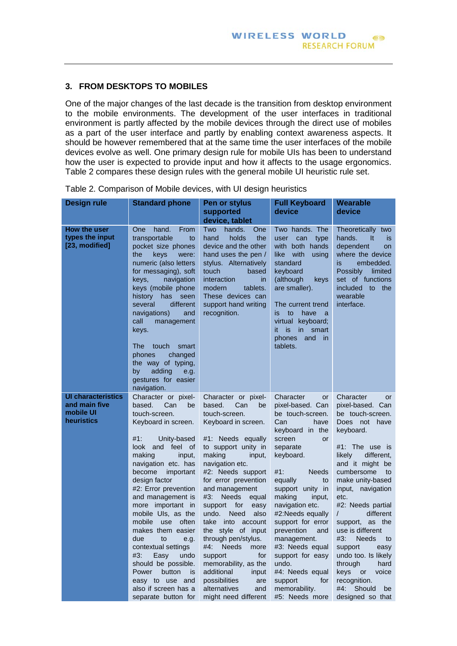## **3. FROM DESKTOPS TO MOBILES**

One of the major changes of the last decade is the transition from desktop environment to the mobile environments. The development of the user interfaces in traditional environment is partly affected by the mobile devices through the direct use of mobiles as a part of the user interface and partly by enabling context awareness aspects. It should be however remembered that at the same time the user interfaces of the mobile devices evolve as well. One primary design rule for mobile UIs has been to understand how the user is expected to provide input and how it affects to the usage ergonomics. Table 2 compares these design rules with the general mobile UI heuristic rule set.

| <b>Design rule</b>                                                    | <b>Standard phone</b>                                                                                                                                                                                                                                                                                                                                                                                                                                                                                                                                    | Pen or stylus<br>supported<br>device, tablet                                                                                                                                                                                                                                                                                                                                                                                                                                                                                                                     | <b>Full Keyboard</b><br>device                                                                                                                                                                                                                                                                                                                                                                                                                    | Wearable<br>device                                                                                                                                                                                                                                                                                                                                                                                                                                                                       |
|-----------------------------------------------------------------------|----------------------------------------------------------------------------------------------------------------------------------------------------------------------------------------------------------------------------------------------------------------------------------------------------------------------------------------------------------------------------------------------------------------------------------------------------------------------------------------------------------------------------------------------------------|------------------------------------------------------------------------------------------------------------------------------------------------------------------------------------------------------------------------------------------------------------------------------------------------------------------------------------------------------------------------------------------------------------------------------------------------------------------------------------------------------------------------------------------------------------------|---------------------------------------------------------------------------------------------------------------------------------------------------------------------------------------------------------------------------------------------------------------------------------------------------------------------------------------------------------------------------------------------------------------------------------------------------|------------------------------------------------------------------------------------------------------------------------------------------------------------------------------------------------------------------------------------------------------------------------------------------------------------------------------------------------------------------------------------------------------------------------------------------------------------------------------------------|
| How the user<br>types the input<br>[23, modified]                     | hand.<br>From<br>One<br>transportable<br>to<br>pocket size phones<br>the<br>keys<br>were:<br>numeric (also letters<br>for messaging), soft<br>navigation<br>keys,<br>keys (mobile phone<br>history<br>has<br>seen<br>different<br>several<br>navigations)<br>and<br>call<br>management<br>keys.<br><b>The</b><br>touch<br>smart<br>phones<br>changed<br>the way of typing,<br>adding<br>by<br>e.g.<br>gestures for easier<br>navigation.                                                                                                                 | Two<br>hands.<br>One<br>hand<br>holds<br>the<br>device and the other<br>hand uses the pen /<br>stylus. Alternatively<br>touch<br>based<br><i>interaction</i><br>in.<br>modern<br>tablets.<br>These devices can<br>support hand writing<br>recognition.                                                                                                                                                                                                                                                                                                           | Two hands. The<br>user<br>can<br>type<br>with both hands<br>like<br>with<br>using<br>standard<br>keyboard<br>(although<br>keys<br>are smaller).<br>The current trend<br>is<br>to<br>have<br>a<br>keyboard;<br>virtual<br>it.<br>is<br>in smart<br>phones<br>and<br>in.<br>tablets.                                                                                                                                                                | Theoretically two<br>hands.<br>It<br>is.<br>dependent<br><b>on</b><br>where the device<br>embedded.<br>is<br>Possibly<br>limited<br>set of functions<br>included to<br>the<br>wearable<br>interface.                                                                                                                                                                                                                                                                                     |
| <b>UI characteristics</b><br>and main five<br>mobile UI<br>heuristics | Character or pixel-<br>based.<br>Can<br>be<br>touch-screen.<br>Keyboard in screen.<br>#1:<br>Unity-based<br>and feel<br>look<br>of<br>making<br>input,<br>navigation etc. has<br>become<br>important<br>design factor<br>#2: Error prevention<br>and management is<br>more important in<br>mobile Uls, as the<br>mobile<br>use<br>often<br>makes them easier<br>due<br>to<br>e.g.<br>contextual settings<br>#3:<br>Easy<br>undo<br>should be possible.<br>Power<br>button<br><b>is</b><br>easy to use and<br>also if screen has a<br>separate button for | Character or pixel-<br>based.<br>Can<br>be<br>touch-screen.<br>Keyboard in screen.<br>#1: Needs equally<br>to support unity in<br>making<br>input,<br>navigation etc.<br>#2: Needs support<br>for error prevention<br>and management<br>#3:<br><b>Needs</b><br>equal<br>support<br>for<br>easy<br><b>Need</b><br>undo.<br>also<br>take<br>into account<br>the style of input<br>through pen/stylus.<br>#4: Needs<br>more<br>support<br>for<br>memorability, as the<br>additional<br>input<br>possibilities<br>are<br>alternatives<br>and<br>might need different | Character<br>or<br>pixel-based. Can<br>be touch-screen.<br>Can<br>have<br>keyboard in the<br>screen<br><b>or</b><br>separate<br>keyboard.<br>#1:<br><b>Needs</b><br>equally<br>to<br>support unity in<br>making<br>input,<br>navigation etc.<br>#2:Needs equally<br>support for error<br>prevention<br>and<br>management.<br>#3: Needs equal<br>support for easy<br>undo.<br>#4: Needs equal<br>support<br>for<br>memorability.<br>#5: Needs more | Character<br>or<br>pixel-based. Can<br>be touch-screen.<br>Does not have<br>keyboard.<br>#1: The use is<br>different,<br>likely<br>and it might be<br>cumbersome<br>to<br>make unity-based<br>input, navigation<br>etc.<br>#2: Needs partial<br>different<br>$\prime$<br>support, as<br>the<br>use is different<br>#3:<br><b>Needs</b><br>to<br>support<br>easy<br>undo too. Is likely<br>through<br>hard<br>keys or<br>voice<br>recognition.<br>#4:<br>Should<br>be<br>designed so that |

|  |  | Table 2. Comparison of Mobile devices, with UI design heuristics |
|--|--|------------------------------------------------------------------|
|--|--|------------------------------------------------------------------|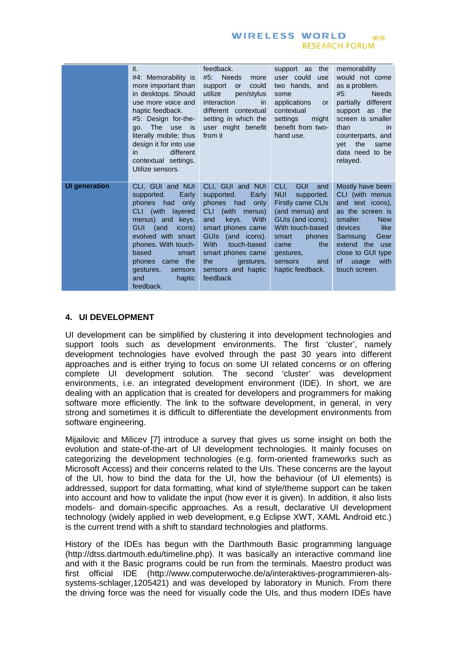|                      | it.<br>#4: Memorability is<br>more important than<br>in desktops. Should<br>use more voice and<br>haptic feedback.<br>#5: Design for-the-<br>The use<br>qo.<br>is :<br>literally mobile; thus<br>design it for into use<br>different<br>in.<br>contextual settings.<br>Utilize sensors. | feedback.<br>#5: Needs<br>more<br>could<br>support<br>or<br>utilize<br>pen/stylus<br>interaction<br>in.<br>different contextual<br>setting in which the<br>user might benefit<br>from it                                                                  | the<br>support as<br>user could<br>use<br>two hands,<br>and<br>some<br>applications<br>or<br>contextual<br>settings<br>might<br>benefit from two-<br>hand use.                                                                     | memorability<br>would not come<br>as a problem.<br>#5:<br><b>Needs</b><br>partially different<br>support as the<br>screen is smaller<br>than<br><i>in</i><br>counterparts, and<br>the<br>vet<br>same<br>data need to be<br>relayed. |
|----------------------|-----------------------------------------------------------------------------------------------------------------------------------------------------------------------------------------------------------------------------------------------------------------------------------------|-----------------------------------------------------------------------------------------------------------------------------------------------------------------------------------------------------------------------------------------------------------|------------------------------------------------------------------------------------------------------------------------------------------------------------------------------------------------------------------------------------|-------------------------------------------------------------------------------------------------------------------------------------------------------------------------------------------------------------------------------------|
| <b>UI generation</b> | CLI, GUI and NUI<br>Early<br>supported.<br>had<br>phones<br>only<br>CLI (with layered<br>menus) and keys.<br><b>GUI</b><br>(and<br>icons)<br>evolved with smart<br>phones. With touch-<br>based<br>smart<br>phones came the<br>gestures.<br>sensors<br>and<br>haptic<br>feedback.       | CLI, GUI and NUI<br>supported.<br>Early<br>had<br>phones<br>only<br>CLI (with menus)<br>With<br>and<br>keys.<br>smart phones came<br>GUIs (and icons).<br>With<br>touch-based<br>smart phones came<br>the<br>gestures,<br>sensors and haptic<br>feedback. | CLI.<br><b>GUI</b><br>and<br><b>NUI</b><br>supported.<br><b>Firstly came CLIs</b><br>(and menus) and<br>GUIs (and icons).<br>With touch-based<br>phones<br>smart<br>the<br>came<br>gestures,<br>sensors<br>and<br>haptic feedback. | Mostly have been<br>CLI (with menus<br>and text icons),<br>as the screen is<br>smaller.<br><b>New</b><br>like<br>devices<br>Gear<br>Samsung<br>extend the<br>use<br>close to GUI type<br>οf<br>with<br>usage<br>touch screen.       |

# **4. UI DEVELOPMENT**

UI development can be simplified by clustering it into development technologies and support tools such as development environments. The first 'cluster', namely development technologies have evolved through the past 30 years into different approaches and is either trying to focus on some UI related concerns or on offering complete UI development solution. The second 'cluster' was development environments, i.e. an integrated development environment (IDE). In short, we are dealing with an application that is created for developers and programmers for making software more efficiently. The link to the software development, in general, in very strong and sometimes it is difficult to differentiate the development environments from software engineering.

Mijailovic and Milicev [7] introduce a survey that gives us some insight on both the evolution and state-of-the-art of UI development technologies. It mainly focuses on categorizing the development technologies (e.g. form-oriented frameworks such as Microsoft Access) and their concerns related to the UIs. These concerns are the layout of the UI, how to bind the data for the UI, how the behaviour (of UI elements) is addressed, support for data formatting, what kind of style/theme support can be taken into account and how to validate the input (how ever it is given). In addition, it also lists models- and domain-specific approaches. As a result, declarative UI development technology (widely applied in web development, e.g Eclipse XWT, XAML Android etc.) is the current trend with a shift to standard technologies and platforms.

History of the IDEs has begun with the Darthmouth Basic programming language (http://dtss.dartmouth.edu/timeline.php). It was basically an interactive command line and with it the Basic programs could be run from the terminals. Maestro product was first official IDE (http://www.computerwoche.de/a/interaktives-programmieren-alssystems-schlager,1205421) and was developed by laboratory in Munich. From there the driving force was the need for visually code the UIs, and thus modern IDEs have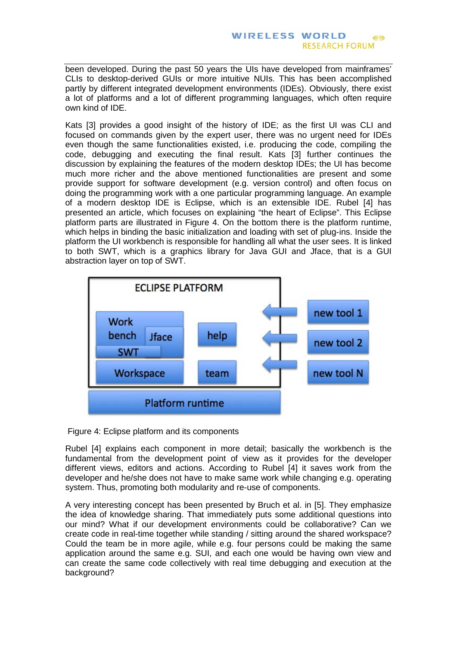been developed. During the past 50 years the UIs have developed from mainframes' CLIs to desktop-derived GUIs or more intuitive NUIs. This has been accomplished partly by different integrated development environments (IDEs). Obviously, there exist a lot of platforms and a lot of different programming languages, which often require own kind of IDE.

Kats [3] provides a good insight of the history of IDE; as the first UI was CLI and focused on commands given by the expert user, there was no urgent need for IDEs even though the same functionalities existed, i.e. producing the code, compiling the code, debugging and executing the final result. Kats [3] further continues the discussion by explaining the features of the modern desktop IDEs; the UI has become much more richer and the above mentioned functionalities are present and some provide support for software development (e.g. version control) and often focus on doing the programming work with a one particular programming language. An example of a modern desktop IDE is Eclipse, which is an extensible IDE. Rubel [4] has presented an article, which focuses on explaining "the heart of Eclipse". This Eclipse platform parts are illustrated in Figure 4. On the bottom there is the platform runtime, which helps in binding the basic initialization and loading with set of plug-ins. Inside the platform the UI workbench is responsible for handling all what the user sees. It is linked to both SWT, which is a graphics library for Java GUI and Jface, that is a GUI abstraction layer on top of SWT.



Figure 4: Eclipse platform and its components

Rubel [4] explains each component in more detail; basically the workbench is the fundamental from the development point of view as it provides for the developer different views, editors and actions. According to Rubel [4] it saves work from the developer and he/she does not have to make same work while changing e.g. operating system. Thus, promoting both modularity and re-use of components.

A very interesting concept has been presented by Bruch et al. in [5]. They emphasize the idea of knowledge sharing. That immediately puts some additional questions into our mind? What if our development environments could be collaborative? Can we create code in real-time together while standing / sitting around the shared workspace? Could the team be in more agile, while e.g. four persons could be making the same application around the same e.g. SUI, and each one would be having own view and can create the same code collectively with real time debugging and execution at the background?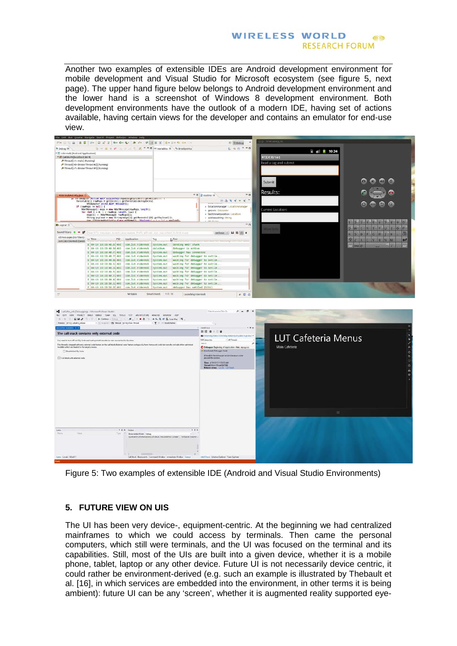Another two examples of extensible IDEs are Android development environment for mobile development and Visual Studio for Microsoft ecosystem (see figure 5, next page). The upper hand figure below belongs to Android development environment and the lower hand is a screenshot of Windows 8 development environment. Both development environments have the outlook of a modern IDE, having set of actions available, having certain views for the developer and contains an emulator for end-use view.



Figure 5: Two examples of extensible IDE (Android and Visual Studio Environments)

# **5. FUTURE VIEW ON UIS**

The UI has been very device-, equipment-centric. At the beginning we had centralized mainframes to which we could access by terminals. Then came the personal computers, which still were terminals, and the UI was focused on the terminal and its capabilities. Still, most of the UIs are built into a given device, whether it is a mobile phone, tablet, laptop or any other device. Future UI is not necessarily device centric, it could rather be environment-derived (e.g. such an example is illustrated by Thebault et al. [16], in which services are embedded into the environment, in other terms it is being ambient): future UI can be any 'screen', whether it is augmented reality supported eye-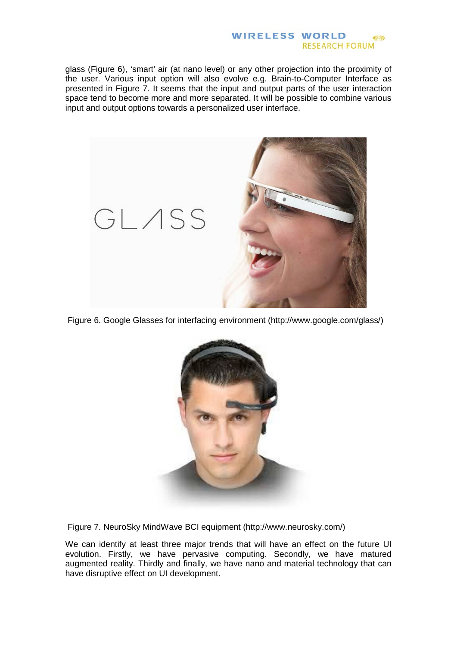glass (Figure 6), 'smart' air (at nano level) or any other projection into the proximity of the user. Various input option will also evolve e.g. Brain-to-Computer Interface as presented in Figure 7. It seems that the input and output parts of the user interaction space tend to become more and more separated. It will be possible to combine various input and output options towards a personalized user interface.



Figure 6. Google Glasses for interfacing environment (http://www.google.com/glass/)



Figure 7. NeuroSky MindWave BCI equipment (http://www.neurosky.com/)

We can identify at least three major trends that will have an effect on the future UI evolution. Firstly, we have pervasive computing. Secondly, we have matured augmented reality. Thirdly and finally, we have nano and material technology that can have disruptive effect on UI development.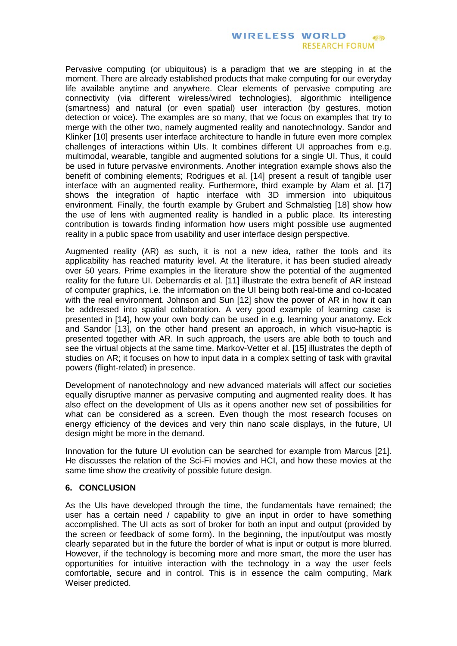Pervasive computing (or ubiquitous) is a paradigm that we are stepping in at the moment. There are already established products that make computing for our everyday life available anytime and anywhere. Clear elements of pervasive computing are connectivity (via different wireless/wired technologies), algorithmic intelligence (smartness) and natural (or even spatial) user interaction (by gestures, motion detection or voice). The examples are so many, that we focus on examples that try to merge with the other two, namely augmented reality and nanotechnology. Sandor and Klinker [10] presents user interface architecture to handle in future even more complex challenges of interactions within UIs. It combines different UI approaches from e.g. multimodal, wearable, tangible and augmented solutions for a single UI. Thus, it could be used in future pervasive environments. Another integration example shows also the benefit of combining elements; Rodrigues et al. [14] present a result of tangible user interface with an augmented reality. Furthermore, third example by Alam et al. [17] shows the integration of haptic interface with 3D immersion into ubiquitous environment. Finally, the fourth example by Grubert and Schmalstieg [18] show how the use of lens with augmented reality is handled in a public place. Its interesting contribution is towards finding information how users might possible use augmented reality in a public space from usability and user interface design perspective.

Augmented reality (AR) as such, it is not a new idea, rather the tools and its applicability has reached maturity level. At the literature, it has been studied already over 50 years. Prime examples in the literature show the potential of the augmented reality for the future UI. Debernardis et al. [11] illustrate the extra benefit of AR instead of computer graphics, i.e. the information on the UI being both real-time and co-located with the real environment. Johnson and Sun [12] show the power of AR in how it can be addressed into spatial collaboration. A very good example of learning case is presented in [14], how your own body can be used in e.g. learning your anatomy. Eck and Sandor [13], on the other hand present an approach, in which visuo-haptic is presented together with AR. In such approach, the users are able both to touch and see the virtual objects at the same time. Markov-Vetter et al. [15] illustrates the depth of studies on AR; it focuses on how to input data in a complex setting of task with gravital powers (flight-related) in presence.

Development of nanotechnology and new advanced materials will affect our societies equally disruptive manner as pervasive computing and augmented reality does. It has also effect on the development of UIs as it opens another new set of possibilities for what can be considered as a screen. Even though the most research focuses on energy efficiency of the devices and very thin nano scale displays, in the future, UI design might be more in the demand.

Innovation for the future UI evolution can be searched for example from Marcus [21]. He discusses the relation of the Sci-Fi movies and HCI, and how these movies at the same time show the creativity of possible future design.

### **6. CONCLUSION**

As the UIs have developed through the time, the fundamentals have remained; the user has a certain need / capability to give an input in order to have something accomplished. The UI acts as sort of broker for both an input and output (provided by the screen or feedback of some form). In the beginning, the input/output was mostly clearly separated but in the future the border of what is input or output is more blurred. However, if the technology is becoming more and more smart, the more the user has opportunities for intuitive interaction with the technology in a way the user feels comfortable, secure and in control. This is in essence the calm computing, Mark Weiser predicted.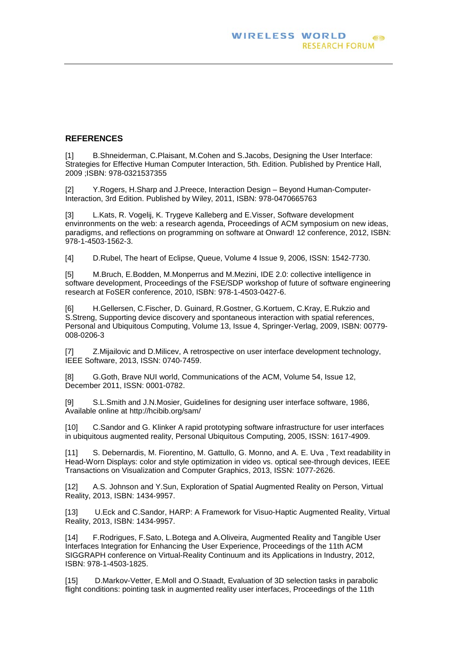## **REFERENCES**

[1] B.Shneiderman, C.Plaisant, M.Cohen and S.Jacobs, Designing the User Interface: Strategies for Effective Human Computer Interaction, 5th. Edition. Published by Prentice Hall, 2009 ;ISBN: 978-0321537355

[2] Y.Rogers, H.Sharp and J.Preece, Interaction Design – Beyond Human-Computer-Interaction, 3rd Edition. Published by Wiley, 2011, ISBN: 978-0470665763

[3] L.Kats, R. Vogelij, K. Trygeve Kalleberg and E.Visser, Software development envinronments on the web: a research agenda, Proceedings of ACM symposium on new ideas, paradigms, and reflections on programming on software at Onward! 12 conference, 2012, ISBN: 978-1-4503-1562-3.

[4] D.Rubel, The heart of Eclipse, Queue, Volume 4 Issue 9, 2006, ISSN: 1542-7730.

[5] M.Bruch, E.Bodden, M.Monperrus and M.Mezini, IDE 2.0: collective intelligence in software development, Proceedings of the FSE/SDP workshop of future of software engineering research at FoSER conference, 2010, ISBN: 978-1-4503-0427-6.

[6] H.Gellersen, C.Fischer, D. Guinard, R.Gostner, G.Kortuem, C.Kray, E.Rukzio and S.Streng, Supporting device discovery and spontaneous interaction with spatial references, Personal and Ubiquitous Computing, Volume 13, Issue 4, Springer-Verlag, 2009, ISBN: 00779- 008-0206-3

[7] Z.Mijailovic and D.Milicev, A retrospective on user interface development technology, IEEE Software, 2013, ISSN: 0740-7459.

[8] G.Goth, Brave NUI world, Communications of the ACM, Volume 54, Issue 12, December 2011, ISSN: 0001-0782.

[9] S.L.Smith and J.N.Mosier, Guidelines for designing user interface software, 1986, Available online at http://hcibib.org/sam/

[10] C.Sandor and G. Klinker A rapid prototyping software infrastructure for user interfaces in ubiquitous augmented reality, Personal Ubiquitous Computing, 2005, ISSN: 1617-4909.

[11] S. Debernardis, M. Fiorentino, M. Gattullo, G. Monno, and A. E. Uva , Text readability in Head-Worn Displays: color and style optimization in video vs. optical see-through devices, IEEE Transactions on Visualization and Computer Graphics, 2013, ISSN: 1077-2626.

[12] A.S. Johnson and Y.Sun, Exploration of Spatial Augmented Reality on Person, Virtual Reality, 2013, ISBN: 1434-9957.

[13] U.Eck and C.Sandor, HARP: A Framework for Visuo-Haptic Augmented Reality, Virtual Reality, 2013, ISBN: 1434-9957.

[14] F.Rodrigues, F.Sato, L.Botega and A.Oliveira, Augmented Reality and Tangible User Interfaces Integration for Enhancing the User Experience, Proceedings of the 11th ACM SIGGRAPH conference on Virtual-Reality Continuum and its Applications in Industry, 2012, ISBN: 978-1-4503-1825.

[15] D.Markov-Vetter, E.Moll and O.Staadt, Evaluation of 3D selection tasks in parabolic flight conditions: pointing task in augmented reality user interfaces, Proceedings of the 11th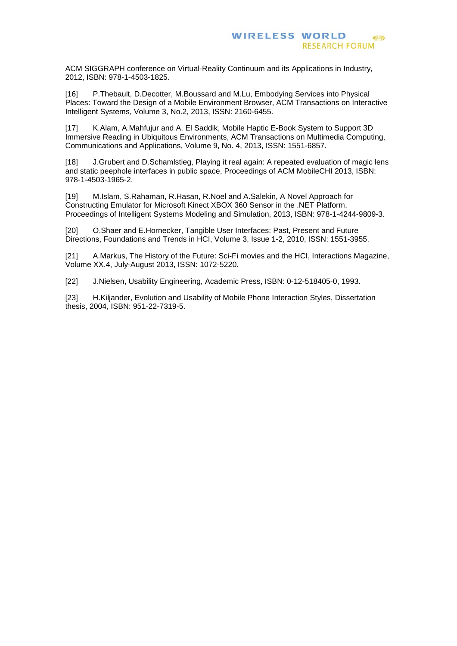ACM SIGGRAPH conference on Virtual-Reality Continuum and its Applications in Industry, 2012, ISBN: 978-1-4503-1825.

[16] P.Thebault, D.Decotter, M.Boussard and M.Lu, Embodying Services into Physical Places: Toward the Design of a Mobile Environment Browser, ACM Transactions on Interactive Intelligent Systems, Volume 3, No.2, 2013, ISSN: 2160-6455.

[17] K.Alam, A.Mahfujur and A. El Saddik, Mobile Haptic E-Book System to Support 3D Immersive Reading in Ubiquitous Environments, ACM Transactions on Multimedia Computing, Communications and Applications, Volume 9, No. 4, 2013, ISSN: 1551-6857.

[18] J.Grubert and D.Schamlstieg, Playing it real again: A repeated evaluation of magic lens and static peephole interfaces in public space, Proceedings of ACM MobileCHI 2013, ISBN: 978-1-4503-1965-2.

[19] M.Islam, S.Rahaman, R.Hasan, R.Noel and A.Salekin, A Novel Approach for Constructing Emulator for Microsoft Kinect XBOX 360 Sensor in the .NET Platform, Proceedings of Intelligent Systems Modeling and Simulation, 2013, ISBN: 978-1-4244-9809-3.

[20] O.Shaer and E.Hornecker, Tangible User Interfaces: Past, Present and Future Directions, Foundations and Trends in HCI, Volume 3, Issue 1-2, 2010, ISSN: 1551-3955.

[21] A.Markus, The History of the Future: Sci-Fi movies and the HCI, Interactions Magazine, Volume XX.4, July-August 2013, ISSN: 1072-5220.

[22] J.Nielsen, Usability Engineering, Academic Press, ISBN: 0-12-518405-0, 1993.

[23] H.Kiljander, Evolution and Usability of Mobile Phone Interaction Styles, Dissertation thesis, 2004, ISBN: 951-22-7319-5.